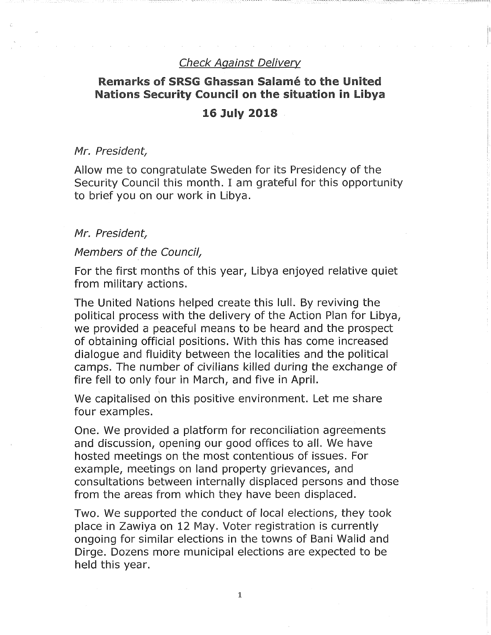# Check Against Delivery

# Remarks of SRSG Ghassan Salamé to the United Nations Security Council on the situation in Libya

#### 16 July 2018

#### Mr. President

Allow me to congratulate Sweden for its Presidency of the Security Council this month. I am grateful for this opportunity to brief you on our work in Libya.

#### Mr. President,

#### Members of the Council,

For the first months of this year, Libya enjoyed relative quiet from military actions.

The United Nations helped create this lull. By reviving the political process with the delivery of the Action Plan for Libya, we provided a peaceful means to be heard and the prospect of obtaining official positions. With this has come increased dialogue and fluidity between the localities and the political camps. The number of civilians killed during the exchange of fire fell to only four in March, and five in April.

We capitalised on this positive environment. Let me share four examples.

One. We provided a platform for reconciliation agreements and discussion, opening our good offices to all. We have hosted meetings on the most contentious of issues. For example, meetings on land property grievances, and consultations between internally displaced persons and those from the areas from which they have been displaced.

Two. We supported the conduct of local elections, they took place in Zawiya on 12 May. Voter registration is currently ongoing for similar elections in the towns of Bani Walid and Dirge. Dozens more municipal elections are expected to be held this year.

i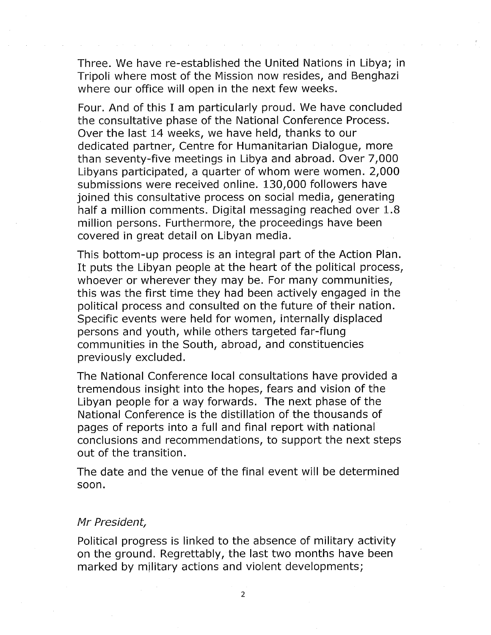Three. We have re-established the United Nations in Libya; in Tripoli where most of the Mission now resides, and Benghazi where our office will open in the next few weeks.

Four. And of this I am particularly proud. We have concluded the consultative phase of the National Conference Process. Over the last 14 weeks, we have held, thanks to our dedicated partner. Centre for Humanitarian Dialogue, more than seventy-five meetings in Libya and abroad. Over 7,000 Libyans participated, a quarter of whom were women. 2,000 submissions were received online. 130,000 followers have joined this consultative process on social media, generating half a million comments. Digital messaging reached over 1.8 million persons. Furthermore, the proceedings have been covered in great detail on Libyan media.

This bottom-up process is an integral part of the Action Plan. It puts the Libyan people at the heart of the political process, whoever or wherever they may be. For many communities, this was the first time they had been actively engaged in the political process and consulted on the future of their nation. Specific events were held for women, internally displaced persons and youth, while others targeted far-flung communities in the South, abroad, and constituencies previously excluded.

The National Conference local consultations have provided a tremendous insight into the hopes, fears and vision of the Libyan people for a way forwards. The next phase of the National Conference is the distillation of the thousands of pages of reports into a full and final report with national conclusions and recommendations, to support the next steps out of the transition.

The date and the venue of the final event will be determined soon.

# Mr President,

Political progress is linked to the absence of military activity on the ground. Regrettably, the last two months have been marked by military actions and violent developments;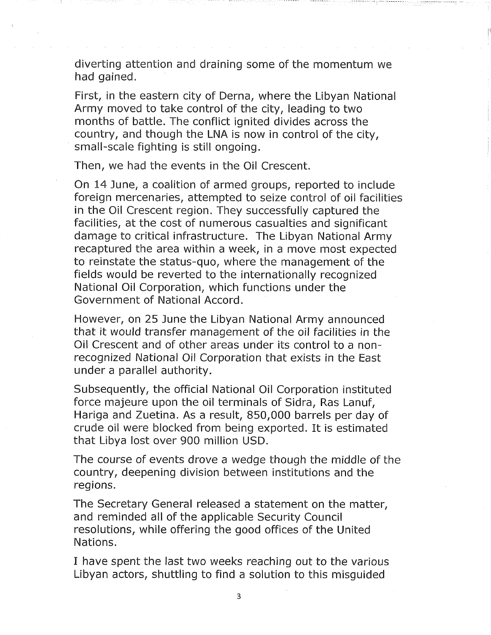diverting attention and draining some of the momentum we had gained.

First, in the eastern city of Derna, where the Libyan National Army moved to take control of the city, leading to two months of battle. The conflict ignited divides across the country, and though the LNA is now in control of the city, small-scale fighting is still ongoing.

Then, we had the events in the Oil Crescent.

On 14 June, a coalition of armed groups, reported to include foreign mercenaries, attempted to seize control of oil facilities in the Oil Crescent region. They successfully captured the facilities, at the cost of numerous casualties and significant damage to critical infrastructure. The Libyan National Army recaptured the area within a week, in a move most expected to reinstate the status-quo, where the management of the fields would be reverted to the internationally recognized National Oil Corporation, which functions under the Government of National Accord.

However, on 25 June the Libyan National Army announced that it would transfer management of the oil facilities in the Oil Crescent and of other areas under its control to a nonrecognized National Oil Corporation that exists in the East under a parallel authority.

Subsequently, the official National Oil Corporation instituted force majeure upon the oil terminals of Sidra, Ras Lanuf, Hariga and Zuetina. As a result, 850,000 barrels per day of crude oil were blocked from being exported. It is estimated that Libya lost over 900 million USD.

The course of events drove a wedge though the middle of the country, deepening division between institutions and the regions.

The Secretary General released a statement on the matter, and reminded all of the applicable Security Council resolutions, while offering the good offices of the United Nations.

I have spent the last two weeks reaching out to the various Libyan actors, shuttling to find a solution to this misguided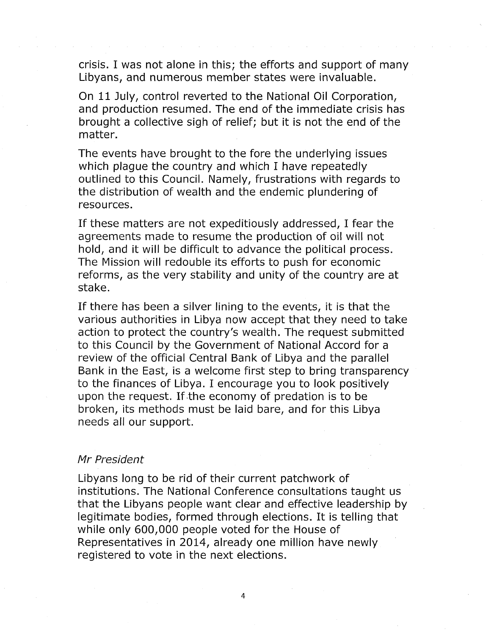crisis. I was not alone in this; the efforts and support of many Libyans, and numerous member states were invaluable.

On 11 July, control reverted to the National Oil Corporation, and production resumed. The end of the immediate crisis has brought a collective sigh of relief; but it is not the end of the matter.

The events have brought to the fore the underlying issues which plague the country and which I have repeatedly outlined to this Council. Namely, frustrations with regards to the distribution of wealth and the endemic plundering of resources.

If these matters are not expeditiously addressed, I fear the agreements made to resume the production of oil will not hold, and it will be difficult to advance the political process. The Mission will redouble its efforts to push for economic reforms, as the very stability and unity of the country are at stake.

If there has been a silver lining to the events, it is that the various authorities in Libya now accept that they need to take action to protect the country's wealth. The request submitted to this Council by the Government of National Accord for a review of the official Central Bank of Libya and the parallel Bank in the East, is a welcome first step to bring transparency to the finances of Libya. I encourage you to look positively upon the request. If the economy of predation is to be broken, its methods must be laid bare, and for this Libya needs all our support.

### Mr President

Libyans long to be rid of their current patchwork of institutions. The National Conference consultations taught us that the Libyans people want clear and effective leadership by legitimate bodies, formed through elections. It is telling that while only 600,000 people voted for the House of Representatives in 2014, already one million have newly registered to vote in the next elections.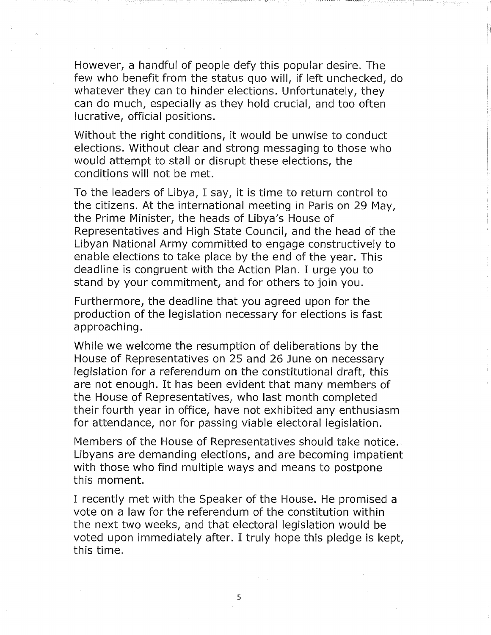However, a handful of people defy this popular desire. The few who benefit from the status quo will, if left unchecked, do whatever they can to hinder elections. Unfortunately, they can do much, especially as they hold crucial, and too often lucrative, official positions.

Without the right conditions, it would be unwise to conduct elections. Without clear and strong messaging to those who would attempt to stall or disrupt these elections, the conditions will not be met.

To the leaders of Libya, I say, it is time to return control to the citizens. At the international meeting in Paris on 29 May, the Prime Minister, the heads of Libya's House of Representatives and High State Council, and the head of the Libyan National Army committed to engage constructively to enable elections to take place by the end of the year. This deadline is congruent with the Action Plan. I urge you to stand by your commitment, and for others to join you.

Furthermore, the deadline that you agreed upon for the production of the legislation necessary for elections is fast approaching.

While we welcome the resumption of deliberations by the House of Representatives on 25 and 26 June on necessary legislation for a referendum on the constitutional draft, this are not enough. It has been evident that many members of the House of Representatives, who last month completed their fourth year in office, have not exhibited any enthusiasm for attendance, nor for passing viable electoral legislation.

Members of the House of Representatives should take notice. Libyans are demanding elections, and are becoming impatient with those who find multiple ways and means to postpone this moment.

I recently met with the Speaker of the House. He promised a vote on a law for the referendum of the constitution within the next two weeks, and that electoral legislation would be voted upon immediately after. I truly hope this pledge is kept, this time.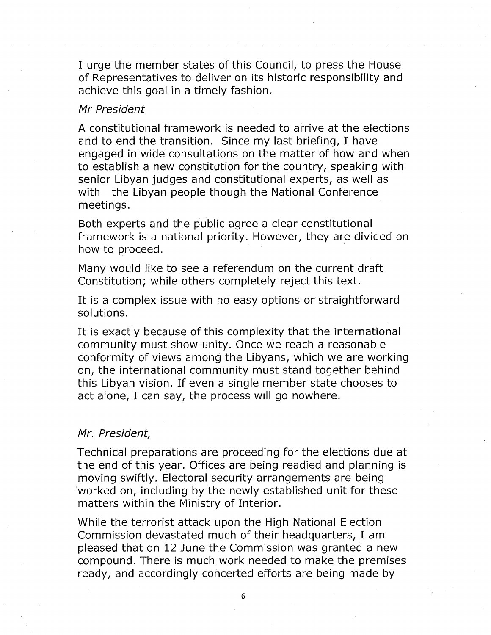I urge the member states of this Council, to press the House of Representatives to deliver on its historic responsibility and achieve this goal in a timely fashion.

### Mr President

A constitutional framework is needed to arrive at the elections and to end the transition. Since my last briefing, I have engaged in wide consultations on the matter of how and when to establish a new constitution for the country, speaking with senior Libyan judges and constitutional experts, as well as with the Libyan people though the National Conference meetings.

Both experts and the public agree a clear constitutional framework is a national priority. However, they are divided on how to proceed.

Many would like to see a referendum on the current draft Constitution; while others completely reject this text.

It is a complex issue with no easy options or straightforward solutions.

It is exactly because of this complexity that the international community must show unity. Once we reach a reasonable conformity of views among the Libyans, which we are working on, the international community must stand together behind this Libyan vision. If even a single member state chooses to act alone, I can say, the process will go nowhere.

# Mr, President,

Technical preparations are proceeding for the elections due at the end of this year. Offices are being readied and planning is moving swiftly. Electoral security arrangements are being worked on, including by the newly established unit for these matters within the Ministry of Interior.

While the terrorist attack upon the High National Election Commission devastated much of their headquarters, I am pleased that on 12 June the Commission was granted a new compound. There is much work needed to make the premises ready, and accordingly concerted efforts are being made by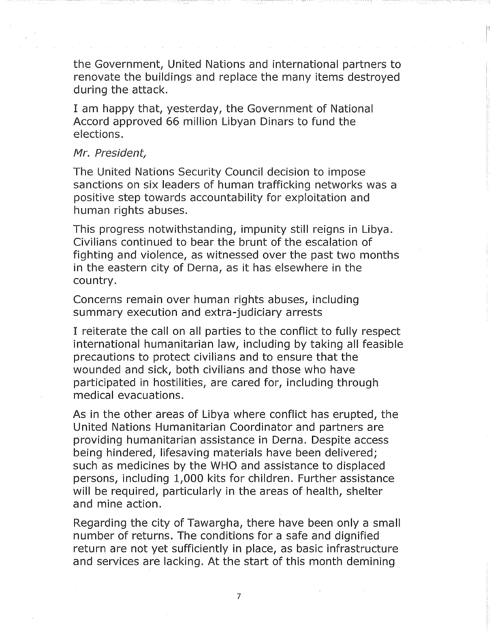the Government, United Nations and international partners to renovate the buildings and replace the many items destroyed during the attack.

I am happy that, yesterday, the Government of National Accord approved 66 million Libyan Dinars to fund the elections.

#### Mr. President

The United Nations Security Council decision to impose sanctions on six leaders of human trafficking networks was a positive step towards accountability for exploitation and human rights abuses.

This progress notwithstanding, impunity still reigns in Libya. Civilians continued to bear the brunt of the escalation of fighting and violence, as witnessed over the past two months in the eastern city of Derna, as it has elsewhere in the country.

Concerns remain over human rights abuses, including summary execution and extra-judiciary arrests

I reiterate the call on all parties to the conflict to fully respect international humanitarian law, including by taking all feasible precautions to protect civilians and to ensure that the wounded and sick, both civilians and those who have participated in hostilities, are cared for, including through medical evacuations.

As in the other areas of Libya where conflict has erupted, the United Nations Humanitarian Coordinator and partners are providing humanitarian assistance in Derna. Despite access being hindered, lifesaving materials have been delivered; such as medicines by the WHO and assistance to displaced persons, including 1,000 kits for children. Further assistance will be required, particularly in the areas of health, shelter and mine action.

Regarding the city of Tawargha, there have been only a small number of returns. The conditions for a safe and dignified return are not yet sufficiently in place, as basic infrastructure and services are lacking. At the start of this month demining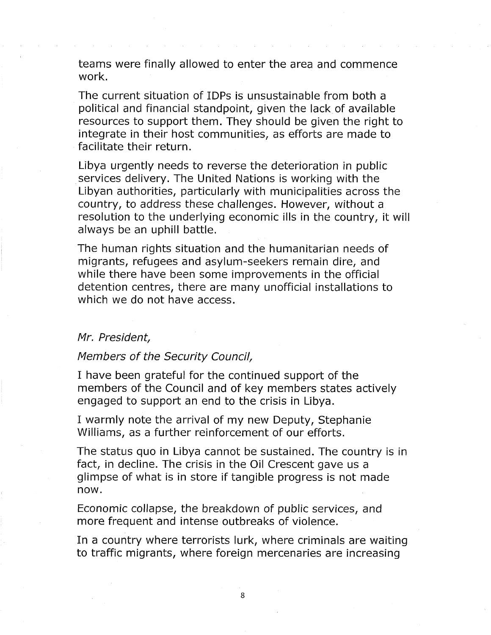teams were finally allowed to enter the area and commence work.

The current situation of IDPs is unsustainable from both a political and financial standpoint, given the lack of available resources to support them. They should be given the right to integrate in their host communities, as efforts are made to facilitate their return.

Libya urgently needs to reverse the deterioration in public services delivery. The United Nations is working with the Libyan authorities, particularly with municipalities across the country, to address these challenges. However, without a resolution to the underlying economic ills in the country, it will always be an uphill battle.

The human rights situation and the humanitarian needs of migrants, refugees and asylum-seekers remain dire, and while there have been some improvements in the official detention centres, there are many unofficial installations to which we do not have access.

#### Mr. President

# Members of the Security Council,

I have been grateful for the continued support of the members of the Council and of key members states actively engaged to support an end to the crisis in Libya.

I warmly note the arrival of my new Deputy, Stephanie Williams, as a further reinforcement of our efforts.

The status quo in Libya cannot be sustained. The country is in fact, in decline. The crisis in the Oil Crescent gave us a glimpse of what is in store if tangible progress is not made now.

Economic collapse, the breakdown of public services, and more frequent and intense outbreaks of violence.

In a country where terrorists lurk, where criminals are waiting to traffic migrants, where foreign mercenaries are increasing